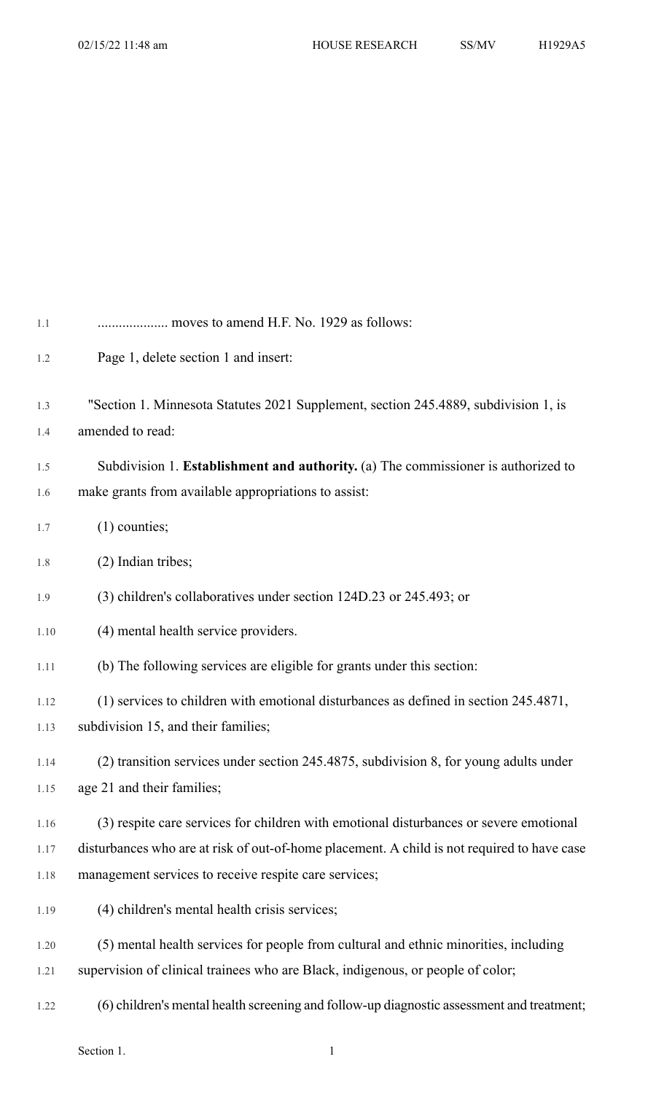| 1.1  | moves to amend H.F. No. 1929 as follows:                                                    |
|------|---------------------------------------------------------------------------------------------|
| 1.2  | Page 1, delete section 1 and insert:                                                        |
| 1.3  | "Section 1. Minnesota Statutes 2021 Supplement, section 245.4889, subdivision 1, is         |
| 1.4  | amended to read:                                                                            |
| 1.5  | Subdivision 1. Establishment and authority. (a) The commissioner is authorized to           |
| 1.6  | make grants from available appropriations to assist:                                        |
| 1.7  | $(1)$ counties;                                                                             |
| 1.8  | (2) Indian tribes;                                                                          |
| 1.9  | (3) children's collaboratives under section 124D.23 or 245.493; or                          |
| 1.10 | (4) mental health service providers.                                                        |
| 1.11 | (b) The following services are eligible for grants under this section:                      |
| 1.12 | (1) services to children with emotional disturbances as defined in section 245.4871,        |
| 1.13 | subdivision 15, and their families;                                                         |
| 1.14 | (2) transition services under section 245.4875, subdivision 8, for young adults under       |
| 1.15 | age 21 and their families;                                                                  |
| 1.16 | (3) respite care services for children with emotional disturbances or severe emotional      |
| 1.17 | disturbances who are at risk of out-of-home placement. A child is not required to have case |
| 1.18 | management services to receive respite care services;                                       |
| 1.19 | (4) children's mental health crisis services;                                               |
| 1.20 | (5) mental health services for people from cultural and ethnic minorities, including        |
| 1.21 | supervision of clinical trainees who are Black, indigenous, or people of color;             |
| 1.22 | (6) children's mental health screening and follow-up diagnostic assessment and treatment;   |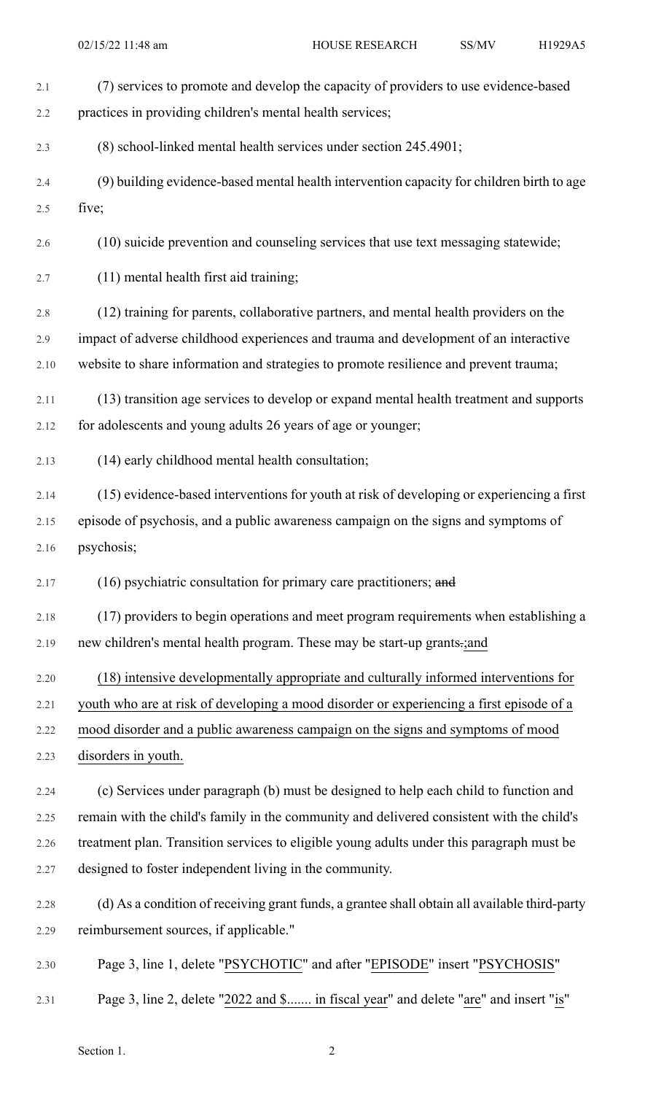| 2.1  | (7) services to promote and develop the capacity of providers to use evidence-based           |
|------|-----------------------------------------------------------------------------------------------|
| 2.2  | practices in providing children's mental health services;                                     |
| 2.3  | (8) school-linked mental health services under section 245.4901;                              |
| 2.4  | (9) building evidence-based mental health intervention capacity for children birth to age     |
| 2.5  | five;                                                                                         |
| 2.6  | (10) suicide prevention and counseling services that use text messaging statewide;            |
| 2.7  | (11) mental health first aid training;                                                        |
| 2.8  | (12) training for parents, collaborative partners, and mental health providers on the         |
| 2.9  | impact of adverse childhood experiences and trauma and development of an interactive          |
| 2.10 | website to share information and strategies to promote resilience and prevent trauma;         |
| 2.11 | (13) transition age services to develop or expand mental health treatment and supports        |
| 2.12 | for adolescents and young adults 26 years of age or younger;                                  |
| 2.13 | (14) early childhood mental health consultation;                                              |
| 2.14 | (15) evidence-based interventions for youth at risk of developing or experiencing a first     |
| 2.15 | episode of psychosis, and a public awareness campaign on the signs and symptoms of            |
| 2.16 | psychosis;                                                                                    |
| 2.17 | (16) psychiatric consultation for primary care practitioners; and                             |
| 2.18 | (17) providers to begin operations and meet program requirements when establishing a          |
| 2.19 | new children's mental health program. These may be start-up grants-;and                       |
| 2.20 | (18) intensive developmentally appropriate and culturally informed interventions for          |
| 2.21 | youth who are at risk of developing a mood disorder or experiencing a first episode of a      |
| 2.22 | mood disorder and a public awareness campaign on the signs and symptoms of mood               |
| 2.23 | disorders in youth.                                                                           |
| 2.24 | (c) Services under paragraph (b) must be designed to help each child to function and          |
| 2.25 | remain with the child's family in the community and delivered consistent with the child's     |
| 2.26 | treatment plan. Transition services to eligible young adults under this paragraph must be     |
| 2.27 | designed to foster independent living in the community.                                       |
| 2.28 | (d) As a condition of receiving grant funds, a grantee shall obtain all available third-party |
| 2.29 | reimbursement sources, if applicable."                                                        |
| 2.30 | Page 3, line 1, delete "PSYCHOTIC" and after "EPISODE" insert "PSYCHOSIS"                     |
| 2.31 | Page 3, line 2, delete "2022 and \$ in fiscal year" and delete "are" and insert "is"          |

Section 1. 2